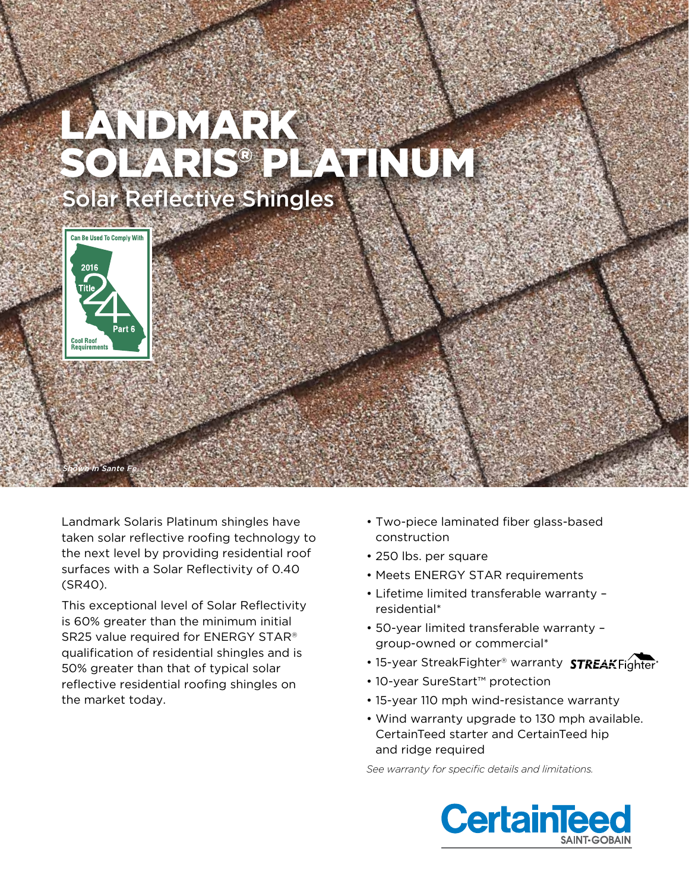# LANDMARK Solaris® PLATINUM Solar Reflective Shingles



*Shown in Sante Fe*

Landmark Solaris Platinum shingles have taken solar reflective roofing technology to the next level by providing residential roof surfaces with a Solar Reflectivity of 0.40 (SR40).

This exceptional level of Solar Reflectivity is 60% greater than the minimum initial SR25 value required for ENERGY STAR® qualification of residential shingles and is 50% greater than that of typical solar reflective residential roofing shingles on the market today.

- Two-piece laminated fiber glass-based construction
- 250 lbs. per square
- Meets ENERGY STAR requirements
- Lifetime limited transferable warranty residential\*
- 50-year limited transferable warranty group-owned or commercial\*
- 15-year StreakFighter® warranty **STREAK** Fighter®
- 10-year SureStart™ protection
- 15-year 110 mph wind-resistance warranty
- Wind warranty upgrade to 130 mph available. CertainTeed starter and CertainTeed hip and ridge required

*See warranty for specific details and limitations.*